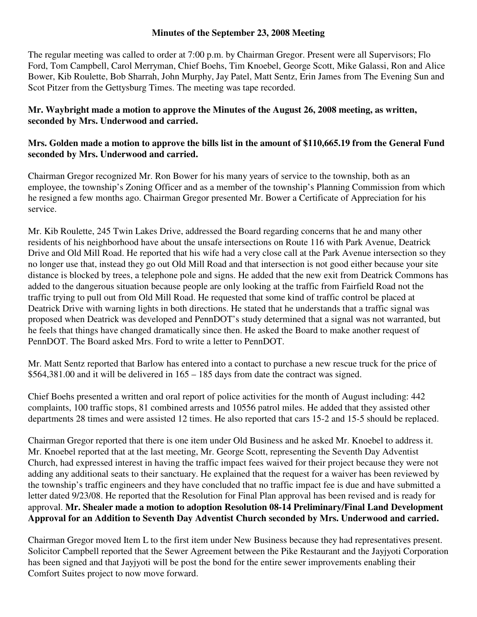## **Minutes of the September 23, 2008 Meeting**

The regular meeting was called to order at 7:00 p.m. by Chairman Gregor. Present were all Supervisors; Flo Ford, Tom Campbell, Carol Merryman, Chief Boehs, Tim Knoebel, George Scott, Mike Galassi, Ron and Alice Bower, Kib Roulette, Bob Sharrah, John Murphy, Jay Patel, Matt Sentz, Erin James from The Evening Sun and Scot Pitzer from the Gettysburg Times. The meeting was tape recorded.

## **Mr. Waybright made a motion to approve the Minutes of the August 26, 2008 meeting, as written, seconded by Mrs. Underwood and carried.**

## **Mrs. Golden made a motion to approve the bills list in the amount of \$110,665.19 from the General Fund seconded by Mrs. Underwood and carried.**

Chairman Gregor recognized Mr. Ron Bower for his many years of service to the township, both as an employee, the township's Zoning Officer and as a member of the township's Planning Commission from which he resigned a few months ago. Chairman Gregor presented Mr. Bower a Certificate of Appreciation for his service.

Mr. Kib Roulette, 245 Twin Lakes Drive, addressed the Board regarding concerns that he and many other residents of his neighborhood have about the unsafe intersections on Route 116 with Park Avenue, Deatrick Drive and Old Mill Road. He reported that his wife had a very close call at the Park Avenue intersection so they no longer use that, instead they go out Old Mill Road and that intersection is not good either because your site distance is blocked by trees, a telephone pole and signs. He added that the new exit from Deatrick Commons has added to the dangerous situation because people are only looking at the traffic from Fairfield Road not the traffic trying to pull out from Old Mill Road. He requested that some kind of traffic control be placed at Deatrick Drive with warning lights in both directions. He stated that he understands that a traffic signal was proposed when Deatrick was developed and PennDOT's study determined that a signal was not warranted, but he feels that things have changed dramatically since then. He asked the Board to make another request of PennDOT. The Board asked Mrs. Ford to write a letter to PennDOT.

Mr. Matt Sentz reported that Barlow has entered into a contact to purchase a new rescue truck for the price of \$564,381.00 and it will be delivered in 165 – 185 days from date the contract was signed.

Chief Boehs presented a written and oral report of police activities for the month of August including: 442 complaints, 100 traffic stops, 81 combined arrests and 10556 patrol miles. He added that they assisted other departments 28 times and were assisted 12 times. He also reported that cars 15-2 and 15-5 should be replaced.

Chairman Gregor reported that there is one item under Old Business and he asked Mr. Knoebel to address it. Mr. Knoebel reported that at the last meeting, Mr. George Scott, representing the Seventh Day Adventist Church, had expressed interest in having the traffic impact fees waived for their project because they were not adding any additional seats to their sanctuary. He explained that the request for a waiver has been reviewed by the township's traffic engineers and they have concluded that no traffic impact fee is due and have submitted a letter dated 9/23/08. He reported that the Resolution for Final Plan approval has been revised and is ready for approval. **Mr. Shealer made a motion to adoption Resolution 08-14 Preliminary/Final Land Development Approval for an Addition to Seventh Day Adventist Church seconded by Mrs. Underwood and carried.** 

Chairman Gregor moved Item L to the first item under New Business because they had representatives present. Solicitor Campbell reported that the Sewer Agreement between the Pike Restaurant and the Jayjyoti Corporation has been signed and that Jayjyoti will be post the bond for the entire sewer improvements enabling their Comfort Suites project to now move forward.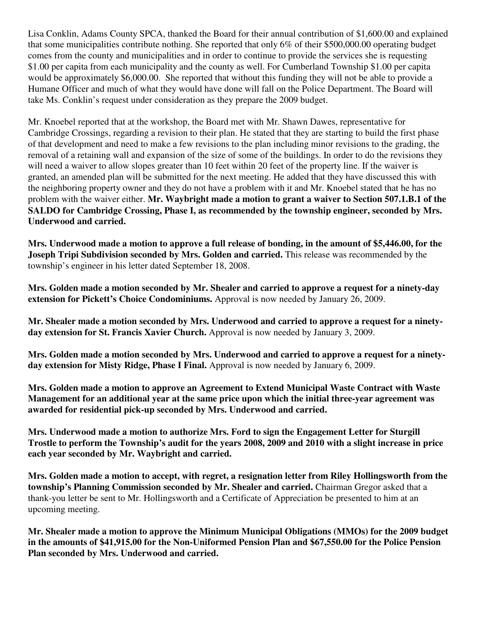Lisa Conklin, Adams County SPCA, thanked the Board for their annual contribution of \$1,600.00 and explained that some municipalities contribute nothing. She reported that only 6% of their \$500,000.00 operating budget comes from the county and municipalities and in order to continue to provide the services she is requesting \$1.00 per capita from each municipality and the county as well. For Cumberland Township \$1.00 per capita would be approximately \$6,000.00. She reported that without this funding they will not be able to provide a Humane Officer and much of what they would have done will fall on the Police Department. The Board will take Ms. Conklin's request under consideration as they prepare the 2009 budget.

Mr. Knoebel reported that at the workshop, the Board met with Mr. Shawn Dawes, representative for Cambridge Crossings, regarding a revision to their plan. He stated that they are starting to build the first phase of that development and need to make a few revisions to the plan including minor revisions to the grading, the removal of a retaining wall and expansion of the size of some of the buildings. In order to do the revisions they will need a waiver to allow slopes greater than 10 feet within 20 feet of the property line. If the waiver is granted, an amended plan will be submitted for the next meeting. He added that they have discussed this with the neighboring property owner and they do not have a problem with it and Mr. Knoebel stated that he has no problem with the waiver either. **Mr. Waybright made a motion to grant a waiver to Section 507.1.B.1 of the SALDO for Cambridge Crossing, Phase I, as recommended by the township engineer, seconded by Mrs. Underwood and carried.** 

**Mrs. Underwood made a motion to approve a full release of bonding, in the amount of \$5,446.00, for the Joseph Tripi Subdivision seconded by Mrs. Golden and carried.** This release was recommended by the township's engineer in his letter dated September 18, 2008.

**Mrs. Golden made a motion seconded by Mr. Shealer and carried to approve a request for a ninety-day extension for Pickett's Choice Condominiums.** Approval is now needed by January 26, 2009.

**Mr. Shealer made a motion seconded by Mrs. Underwood and carried to approve a request for a ninetyday extension for St. Francis Xavier Church.** Approval is now needed by January 3, 2009.

**Mrs. Golden made a motion seconded by Mrs. Underwood and carried to approve a request for a ninetyday extension for Misty Ridge, Phase I Final.** Approval is now needed by January 6, 2009.

**Mrs. Golden made a motion to approve an Agreement to Extend Municipal Waste Contract with Waste Management for an additional year at the same price upon which the initial three-year agreement was awarded for residential pick-up seconded by Mrs. Underwood and carried.** 

**Mrs. Underwood made a motion to authorize Mrs. Ford to sign the Engagement Letter for Sturgill Trostle to perform the Township's audit for the years 2008, 2009 and 2010 with a slight increase in price each year seconded by Mr. Waybright and carried.** 

**Mrs. Golden made a motion to accept, with regret, a resignation letter from Riley Hollingsworth from the township's Planning Commission seconded by Mr. Shealer and carried.** Chairman Gregor asked that a thank-you letter be sent to Mr. Hollingsworth and a Certificate of Appreciation be presented to him at an upcoming meeting.

**Mr. Shealer made a motion to approve the Minimum Municipal Obligations (MMOs) for the 2009 budget in the amounts of \$41,915.00 for the Non-Uniformed Pension Plan and \$67,550.00 for the Police Pension Plan seconded by Mrs. Underwood and carried.**